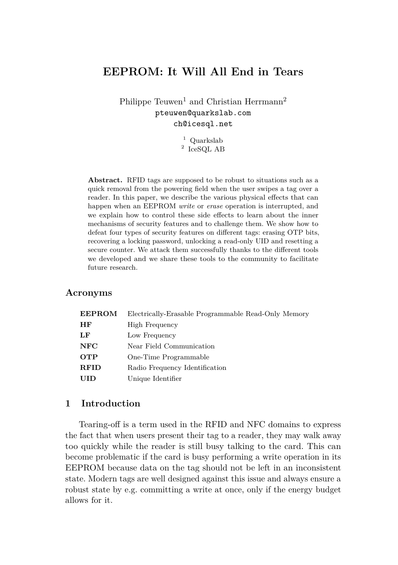# **EEPROM: It Will All End in Tears**

Philippe Teuwen<sup>1</sup> and Christian Herrmann<sup>2</sup> pteuwen@quarkslab.com ch@icesql.net

> <sup>1</sup> Quarkslab 2 IceSQL AB

**Abstract.** RFID tags are supposed to be robust to situations such as a quick removal from the powering field when the user swipes a tag over a reader. In this paper, we describe the various physical effects that can happen when an EEPROM *write* or *erase* operation is interrupted, and we explain how to control these side effects to learn about the inner mechanisms of security features and to challenge them. We show how to defeat four types of security features on different tags: erasing OTP bits, recovering a locking password, unlocking a read-only UID and resetting a secure counter. We attack them successfully thanks to the different tools we developed and we share these tools to the community to facilitate future research.

#### **Acronyms**

| <b>EEPROM</b> | Electrically-Erasable Programmable Read-Only Memory |  |  |
|---------------|-----------------------------------------------------|--|--|
| HF            | High Frequency                                      |  |  |
| LF            | Low Frequency                                       |  |  |
| NFC           | Near Field Communication                            |  |  |
| <b>OTP</b>    | One-Time Programmable                               |  |  |
| <b>RFID</b>   | Radio Frequency Identification                      |  |  |
| <b>UID</b>    | Unique Identifier                                   |  |  |
|               |                                                     |  |  |

# **1 Introduction**

Tearing-off is a term used in the RFID and NFC domains to express the fact that when users present their tag to a reader, they may walk away too quickly while the reader is still busy talking to the card. This can become problematic if the card is busy performing a write operation in its EEPROM because data on the tag should not be left in an inconsistent state. Modern tags are well designed against this issue and always ensure a robust state by e.g. committing a write at once, only if the energy budget allows for it.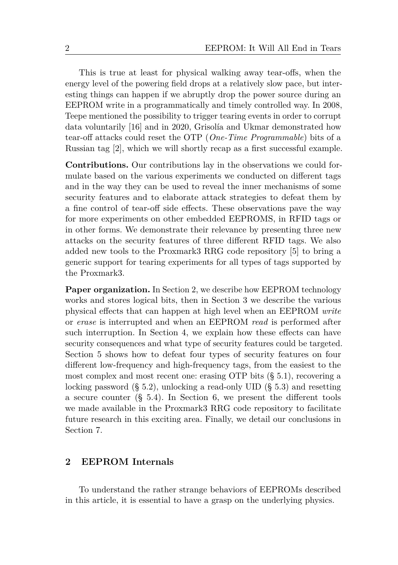This is true at least for physical walking away tear-offs, when the energy level of the powering field drops at a relatively slow pace, but interesting things can happen if we abruptly drop the power source during an EEPROM write in a programmatically and timely controlled way. In 2008, Teepe mentioned the possibility to trigger tearing events in order to corrupt data voluntarily [\[16\]](#page-29-0) and in 2020, Grisolía and Ukmar demonstrated how tear-off attacks could reset the OTP (*One-Time Programmable*) bits of a Russian tag [\[2\]](#page-28-0), which we will shortly recap as a first successful example.

**Contributions.** Our contributions lay in the observations we could formulate based on the various experiments we conducted on different tags and in the way they can be used to reveal the inner mechanisms of some security features and to elaborate attack strategies to defeat them by a fine control of tear-off side effects. These observations pave the way for more experiments on other embedded EEPROMS, in RFID tags or in other forms. We demonstrate their relevance by presenting three new attacks on the security features of three different RFID tags. We also added new tools to the Proxmark3 RRG code repository [\[5\]](#page-29-1) to bring a generic support for tearing experiments for all types of tags supported by the Proxmark3.

**Paper organization.** In Section [2,](#page-1-0) we describe how EEPROM technology works and stores logical bits, then in Section [3](#page-3-0) we describe the various physical effects that can happen at high level when an EEPROM *write* or *erase* is interrupted and when an EEPROM *read* is performed after such interruption. In Section [4,](#page-10-0) we explain how these effects can have security consequences and what type of security features could be targeted. Section [5](#page-11-0) shows how to defeat four types of security features on four different low-frequency and high-frequency tags, from the easiest to the most complex and most recent one: erasing OTP bits (§ [5.1\)](#page-11-1), recovering a locking password (§ [5.2\)](#page-12-0), unlocking a read-only UID (§ [5.3\)](#page-16-0) and resetting a secure counter (§ [5.4\)](#page-21-0). In Section [6,](#page-26-0) we present the different tools we made available in the Proxmark3 RRG code repository to facilitate future research in this exciting area. Finally, we detail our conclusions in Section [7.](#page-28-1)

## <span id="page-1-0"></span>**2 EEPROM Internals**

To understand the rather strange behaviors of EEPROMs described in this article, it is essential to have a grasp on the underlying physics.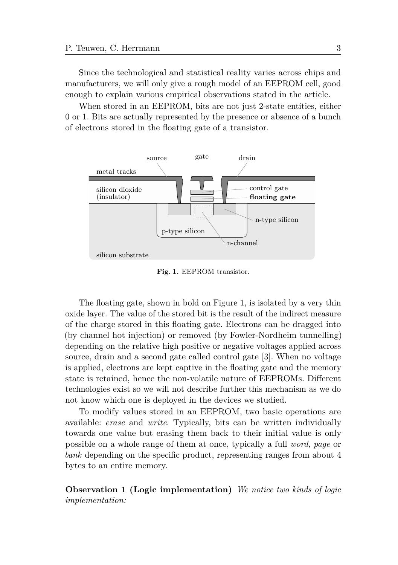Since the technological and statistical reality varies across chips and manufacturers, we will only give a rough model of an EEPROM cell, good enough to explain various empirical observations stated in the article.

When stored in an EEPROM, bits are not just 2-state entities, either 0 or 1. Bits are actually represented by the presence or absence of a bunch of electrons stored in the floating gate of a transistor.

<span id="page-2-0"></span>

**Fig. 1.** EEPROM transistor.

The floating gate, shown in bold on Figure [1,](#page-2-0) is isolated by a very thin oxide layer. The value of the stored bit is the result of the indirect measure of the charge stored in this floating gate. Electrons can be dragged into (by channel hot injection) or removed (by Fowler-Nordheim tunnelling) depending on the relative high positive or negative voltages applied across source, drain and a second gate called control gate [\[3\]](#page-29-2). When no voltage is applied, electrons are kept captive in the floating gate and the memory state is retained, hence the non-volatile nature of EEPROMs. Different technologies exist so we will not describe further this mechanism as we do not know which one is deployed in the devices we studied.

To modify values stored in an EEPROM, two basic operations are available: *erase* and *write*. Typically, bits can be written individually towards one value but erasing them back to their initial value is only possible on a whole range of them at once, typically a full *word*, *page* or *bank* depending on the specific product, representing ranges from about 4 bytes to an entire memory.

<span id="page-2-1"></span>**Observation 1 (Logic implementation)** *We notice two kinds of logic implementation:*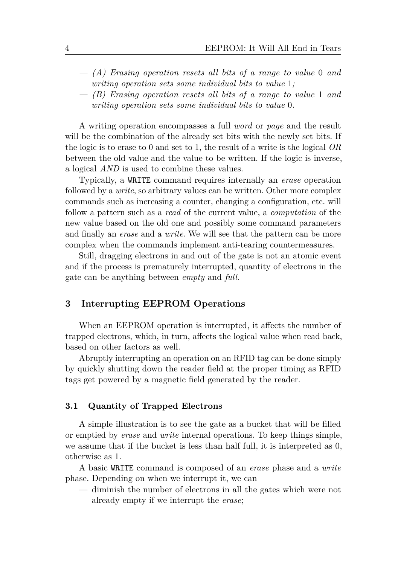- *— (A) Erasing operation resets all bits of a range to value* 0 *and writing operation sets some individual bits to value* 1*;*
- *— (B) Erasing operation resets all bits of a range to value* 1 *and writing operation sets some individual bits to value* 0*.*

A writing operation encompasses a full *word* or *page* and the result will be the combination of the already set bits with the newly set bits. If the logic is to erase to 0 and set to 1, the result of a write is the logical *OR* between the old value and the value to be written. If the logic is inverse, a logical *AND* is used to combine these values.

Typically, a WRITE command requires internally an *erase* operation followed by a *write*, so arbitrary values can be written. Other more complex commands such as increasing a counter, changing a configuration, etc. will follow a pattern such as a *read* of the current value, a *computation* of the new value based on the old one and possibly some command parameters and finally an *erase* and a *write*. We will see that the pattern can be more complex when the commands implement anti-tearing countermeasures.

Still, dragging electrons in and out of the gate is not an atomic event and if the process is prematurely interrupted, quantity of electrons in the gate can be anything between *empty* and *full*.

## <span id="page-3-0"></span>**3 Interrupting EEPROM Operations**

When an EEPROM operation is interrupted, it affects the number of trapped electrons, which, in turn, affects the logical value when read back, based on other factors as well.

Abruptly interrupting an operation on an RFID tag can be done simply by quickly shutting down the reader field at the proper timing as RFID tags get powered by a magnetic field generated by the reader.

#### **3.1 Quantity of Trapped Electrons**

A simple illustration is to see the gate as a bucket that will be filled or emptied by *erase* and *write* internal operations. To keep things simple, we assume that if the bucket is less than half full, it is interpreted as 0, otherwise as 1.

A basic WRITE command is composed of an *erase* phase and a *write* phase. Depending on when we interrupt it, we can

— diminish the number of electrons in all the gates which were not already empty if we interrupt the *erase*;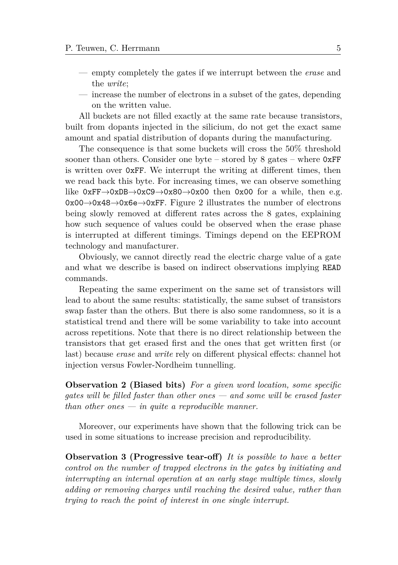- empty completely the gates if we interrupt between the *erase* and the *write*;
- increase the number of electrons in a subset of the gates, depending on the written value.

All buckets are not filled exactly at the same rate because transistors, built from dopants injected in the silicium, do not get the exact same amount and spatial distribution of dopants during the manufacturing.

The consequence is that some buckets will cross the 50% threshold sooner than others. Consider one byte – stored by 8 gates – where  $0xFF$ is written over 0xFF. We interrupt the writing at different times, then we read back this byte. For increasing times, we can observe something like  $0xFF \rightarrow 0xDB \rightarrow 0xC9 \rightarrow 0x80 \rightarrow 0x00$  then  $0x00$  for a while, then e.g. 0x00→0x48→0x6e→0xFF. Figure [2](#page-5-0) illustrates the number of electrons being slowly removed at different rates across the 8 gates, explaining how such sequence of values could be observed when the erase phase is interrupted at different timings. Timings depend on the EEPROM technology and manufacturer.

Obviously, we cannot directly read the electric charge value of a gate and what we describe is based on indirect observations implying READ commands.

Repeating the same experiment on the same set of transistors will lead to about the same results: statistically, the same subset of transistors swap faster than the others. But there is also some randomness, so it is a statistical trend and there will be some variability to take into account across repetitions. Note that there is no direct relationship between the transistors that get erased first and the ones that get written first (or last) because *erase* and *write* rely on different physical effects: channel hot injection versus Fowler-Nordheim tunnelling.

<span id="page-4-0"></span>**Observation 2 (Biased bits)** *For a given word location, some specific gates will be filled faster than other ones — and some will be erased faster than other ones — in quite a reproducible manner.*

Moreover, our experiments have shown that the following trick can be used in some situations to increase precision and reproducibility.

<span id="page-4-1"></span>**Observation 3 (Progressive tear-off)** *It is possible to have a better control on the number of trapped electrons in the gates by initiating and interrupting an internal operation at an early stage multiple times, slowly adding or removing charges until reaching the desired value, rather than trying to reach the point of interest in one single interrupt.*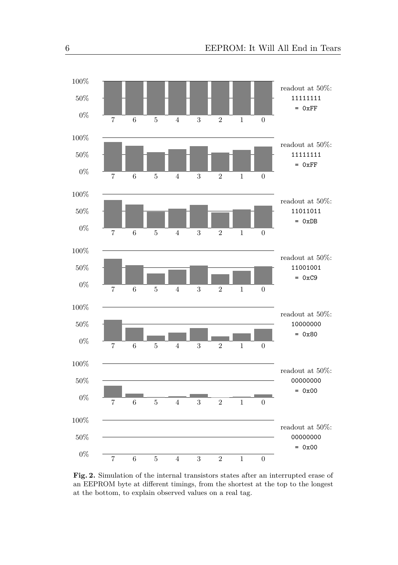<span id="page-5-0"></span>

**Fig. 2.** Simulation of the internal transistors states after an interrupted erase of an EEPROM byte at different timings, from the shortest at the top to the longest at the bottom, to explain observed values on a real tag.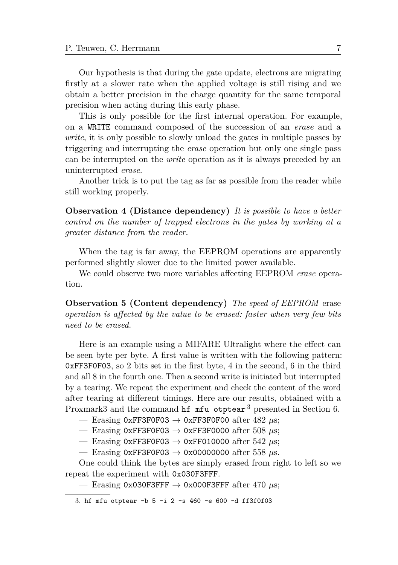Our hypothesis is that during the gate update, electrons are migrating firstly at a slower rate when the applied voltage is still rising and we obtain a better precision in the charge quantity for the same temporal precision when acting during this early phase.

This is only possible for the first internal operation. For example, on a WRITE command composed of the succession of an *erase* and a *write*, it is only possible to slowly unload the gates in multiple passes by triggering and interrupting the *erase* operation but only one single pass can be interrupted on the *write* operation as it is always preceded by an uninterrupted *erase*.

Another trick is to put the tag as far as possible from the reader while still working properly.

<span id="page-6-1"></span>**Observation 4 (Distance dependency)** *It is possible to have a better control on the number of trapped electrons in the gates by working at a greater distance from the reader.*

When the tag is far away, the EEPROM operations are apparently performed slightly slower due to the limited power available.

We could observe two more variables affecting EEPROM *erase* operation.

**Observation 5 (Content dependency)** *The speed of EEPROM* erase *operation is affected by the value to be erased: faster when very few bits need to be erased.*

Here is an example using a MIFARE Ultralight where the effect can be seen byte per byte. A first value is written with the following pattern: 0xFF3F0F03, so 2 bits set in the first byte, 4 in the second, 6 in the third and all 8 in the fourth one. Then a second write is initiated but interrupted by a tearing. We repeat the experiment and check the content of the word after tearing at different timings. Here are our results, obtained with a Proxmark[3](#page-6-0) and the command **hf** mfu otptear<sup>3</sup> presented in Section [6.](#page-26-0)

— Erasing 0xFF3F0F03  $\rightarrow$  0xFF3F0F00 after 482  $\mu$ s;

— Erasing 0xFF3F0F03  $\rightarrow$  0xFF3F0000 after 508  $\mu$ s;

— Erasing 0xFF3F0F03 → 0xFF010000 after 542 *µ*s;

— Erasing 0xFF3F0F03  $\rightarrow$  0x00000000 after 558  $\mu$ s.

One could think the bytes are simply erased from right to left so we repeat the experiment with 0x030F3FFF.

— Erasing 0x030F3FFF  $\rightarrow$  0x000F3FFF after 470  $\mu$ s;

<span id="page-6-0"></span><sup>3.</sup> hf mfu otptear -b 5 -i 2 -s 460 -e 600 -d ff3f0f03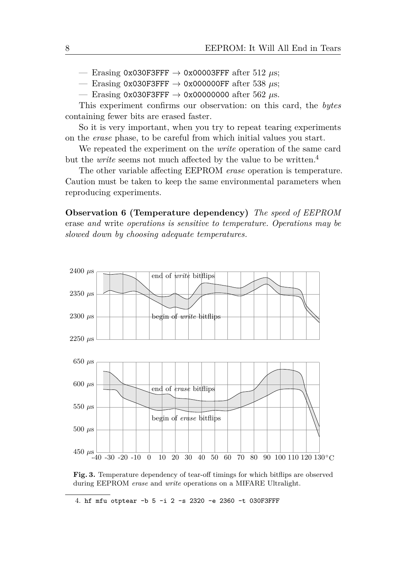— Erasing 0x030F3FFF  $\rightarrow$  0x00003FFF after 512  $\mu$ s;

— Erasing 0x030F3FFF  $\rightarrow$  0x000000FF after 538  $\mu$ s;

— Erasing 0x030F3FFF  $\rightarrow$  0x00000000 after 562  $\mu$ s.

This experiment confirms our observation: on this card, the *bytes* containing fewer bits are erased faster.

So it is very important, when you try to repeat tearing experiments on the *erase* phase, to be careful from which initial values you start.

We repeated the experiment on the *write* operation of the same card but the *write* seems not much affected by the value to be written.[4](#page-7-0)

The other variable affecting EEPROM *erase* operation is temperature. Caution must be taken to keep the same environmental parameters when reproducing experiments.

**Observation 6 (Temperature dependency)** *The speed of EEPROM* erase *and* write *operations is sensitive to temperature. Operations may be slowed down by choosing adequate temperatures.*

<span id="page-7-1"></span>

**Fig. 3.** Temperature dependency of tear-off timings for which bitflips are observed during EEPROM *erase* and *write* operations on a MIFARE Ultralight.

<span id="page-7-0"></span>4. hf mfu otptear -b 5 -i 2 -s 2320 -e 2360 -t 030F3FFF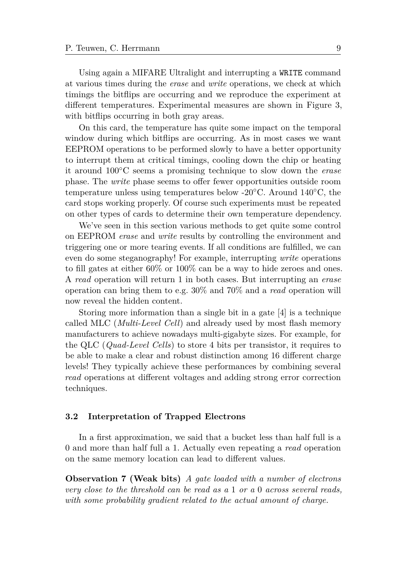Using again a MIFARE Ultralight and interrupting a WRITE command at various times during the *erase* and *write* operations, we check at which timings the bitflips are occurring and we reproduce the experiment at different temperatures. Experimental measures are shown in Figure [3,](#page-7-1) with bit flips occurring in both gray areas.

On this card, the temperature has quite some impact on the temporal window during which bitflips are occurring. As in most cases we want EEPROM operations to be performed slowly to have a better opportunity to interrupt them at critical timings, cooling down the chip or heating it around 100◦C seems a promising technique to slow down the *erase* phase. The *write* phase seems to offer fewer opportunities outside room temperature unless using temperatures below -20◦C. Around 140◦C, the card stops working properly. Of course such experiments must be repeated on other types of cards to determine their own temperature dependency.

We've seen in this section various methods to get quite some control on EEPROM *erase* and *write* results by controlling the environment and triggering one or more tearing events. If all conditions are fulfilled, we can even do some steganography! For example, interrupting *write* operations to fill gates at either 60% or 100% can be a way to hide zeroes and ones. A *read* operation will return 1 in both cases. But interrupting an *erase* operation can bring them to e.g. 30% and 70% and a *read* operation will now reveal the hidden content.

Storing more information than a single bit in a gate [\[4\]](#page-29-3) is a technique called MLC (*Multi-Level Cell*) and already used by most flash memory manufacturers to achieve nowadays multi-gigabyte sizes. For example, for the QLC (*Quad-Level Cells*) to store 4 bits per transistor, it requires to be able to make a clear and robust distinction among 16 different charge levels! They typically achieve these performances by combining several *read* operations at different voltages and adding strong error correction techniques.

#### **3.2 Interpretation of Trapped Electrons**

<span id="page-8-0"></span>In a first approximation, we said that a bucket less than half full is a 0 and more than half full a 1. Actually even repeating a *read* operation on the same memory location can lead to different values.

**Observation 7 (Weak bits)** *A gate loaded with a number of electrons very close to the threshold can be read as a* 1 *or a* 0 *across several reads, with some probability gradient related to the actual amount of charge.*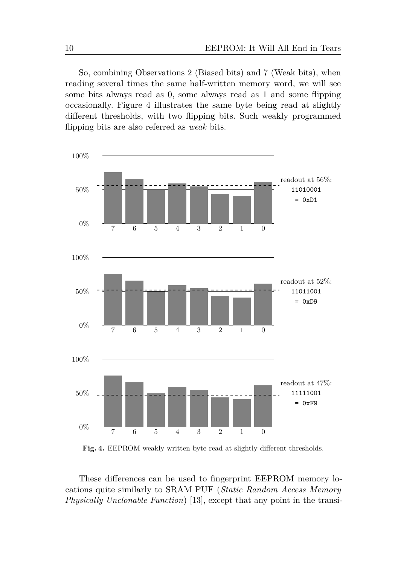So, combining Observations [2](#page-4-0) [\(Biased bits\)](#page-4-0) and [7](#page-8-0) [\(Weak bits\)](#page-8-0), when reading several times the same half-written memory word, we will see some bits always read as 0, some always read as 1 and some flipping occasionally. Figure [4](#page-9-0) illustrates the same byte being read at slightly different thresholds, with two flipping bits. Such weakly programmed flipping bits are also referred as *weak* bits.

<span id="page-9-0"></span>

**Fig. 4.** EEPROM weakly written byte read at slightly different thresholds.

These differences can be used to fingerprint EEPROM memory locations quite similarly to SRAM PUF (*Static Random Access Memory Physically Unclonable Function*) [\[13\]](#page-29-4), except that any point in the transi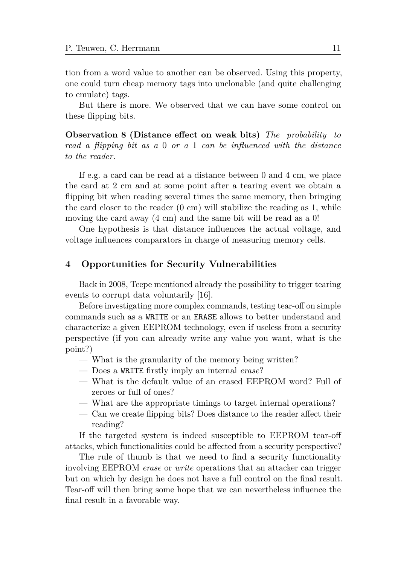tion from a word value to another can be observed. Using this property, one could turn cheap memory tags into unclonable (and quite challenging to emulate) tags.

But there is more. We observed that we can have some control on these flipping bits.

<span id="page-10-1"></span>**Observation 8 (Distance effect on weak bits)** *The probability to read a flipping bit as a* 0 *or a* 1 *can be influenced with the distance to the reader.*

If e.g. a card can be read at a distance between 0 and 4 cm, we place the card at 2 cm and at some point after a tearing event we obtain a flipping bit when reading several times the same memory, then bringing the card closer to the reader  $(0 \text{ cm})$  will stabilize the reading as 1, while moving the card away (4 cm) and the same bit will be read as a 0!

One hypothesis is that distance influences the actual voltage, and voltage influences comparators in charge of measuring memory cells.

## <span id="page-10-0"></span>**4 Opportunities for Security Vulnerabilities**

Back in 2008, Teepe mentioned already the possibility to trigger tearing events to corrupt data voluntarily [\[16\]](#page-29-0).

Before investigating more complex commands, testing tear-off on simple commands such as a WRITE or an ERASE allows to better understand and characterize a given EEPROM technology, even if useless from a security perspective (if you can already write any value you want, what is the point?)

- What is the granularity of the memory being written?
- Does a WRITE firstly imply an internal *erase*?
- What is the default value of an erased EEPROM word? Full of zeroes or full of ones?
- What are the appropriate timings to target internal operations?
- Can we create flipping bits? Does distance to the reader affect their reading?

If the targeted system is indeed susceptible to EEPROM tear-off attacks, which functionalities could be affected from a security perspective?

The rule of thumb is that we need to find a security functionality involving EEPROM *erase* or *write* operations that an attacker can trigger but on which by design he does not have a full control on the final result. Tear-off will then bring some hope that we can nevertheless influence the final result in a favorable way.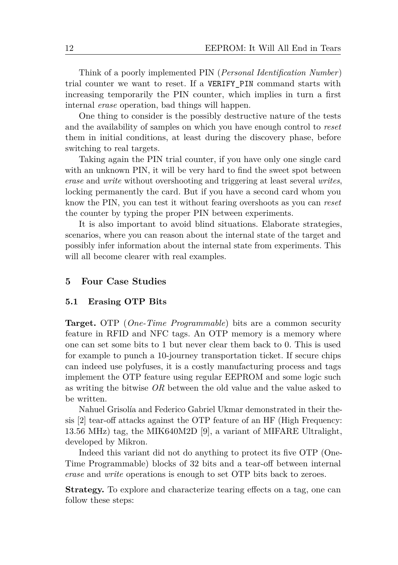Think of a poorly implemented PIN (*Personal Identification Number*) trial counter we want to reset. If a VERIFY\_PIN command starts with increasing temporarily the PIN counter, which implies in turn a first internal *erase* operation, bad things will happen.

One thing to consider is the possibly destructive nature of the tests and the availability of samples on which you have enough control to *reset* them in initial conditions, at least during the discovery phase, before switching to real targets.

Taking again the PIN trial counter, if you have only one single card with an unknown PIN, it will be very hard to find the sweet spot between *erase* and *write* without overshooting and triggering at least several *writes*, locking permanently the card. But if you have a second card whom you know the PIN, you can test it without fearing overshoots as you can *reset* the counter by typing the proper PIN between experiments.

It is also important to avoid blind situations. Elaborate strategies, scenarios, where you can reason about the internal state of the target and possibly infer information about the internal state from experiments. This will all become clearer with real examples.

### <span id="page-11-0"></span>**5 Four Case Studies**

#### <span id="page-11-1"></span>**5.1 Erasing OTP Bits**

**Target.** OTP (*One-Time Programmable*) bits are a common security feature in RFID and NFC tags. An OTP memory is a memory where one can set some bits to 1 but never clear them back to 0. This is used for example to punch a 10-journey transportation ticket. If secure chips can indeed use polyfuses, it is a costly manufacturing process and tags implement the OTP feature using regular EEPROM and some logic such as writing the bitwise *OR* between the old value and the value asked to be written.

Nahuel Grisolía and Federico Gabriel Ukmar demonstrated in their thesis [\[2\]](#page-28-0) tear-off attacks against the OTP feature of an HF (High Frequency: 13.56 MHz) tag, the MIK640M2D [\[9\]](#page-29-5), a variant of MIFARE Ultralight, developed by Mikron.

Indeed this variant did not do anything to protect its five OTP (One-Time Programmable) blocks of 32 bits and a tear-off between internal *erase* and *write* operations is enough to set OTP bits back to zeroes.

**Strategy.** To explore and characterize tearing effects on a tag, one can follow these steps: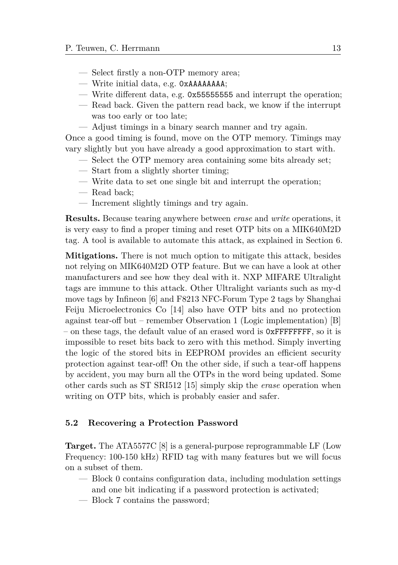- Select firstly a non-OTP memory area;
- Write initial data, e.g. 0xAAAAAAAA;
- Write different data, e.g. 0x55555555 and interrupt the operation;
- Read back. Given the pattern read back, we know if the interrupt was too early or too late;
- Adjust timings in a binary search manner and try again.

Once a good timing is found, move on the OTP memory. Timings may vary slightly but you have already a good approximation to start with.

- Select the OTP memory area containing some bits already set;
- Start from a slightly shorter timing;
- Write data to set one single bit and interrupt the operation;
- Read back;
- Increment slightly timings and try again.

**Results.** Because tearing anywhere between *erase* and *write* operations, it is very easy to find a proper timing and reset OTP bits on a MIK640M2D tag. A tool is available to automate this attack, as explained in Section [6.](#page-26-0)

**Mitigations.** There is not much option to mitigate this attack, besides not relying on MIK640M2D OTP feature. But we can have a look at other manufacturers and see how they deal with it. NXP MIFARE Ultralight tags are immune to this attack. Other Ultralight variants such as my-d move tags by Infineon [\[6\]](#page-29-6) and F8213 NFC-Forum Type 2 tags by Shanghai Feiju Microelectronics Co [\[14\]](#page-29-7) also have OTP bits and no protection against tear-off but – remember Observation [1](#page-2-1) [\(Logic implementation\)](#page-2-1) [B] – on these tags, the default value of an erased word is 0xFFFFFFFF, so it is impossible to reset bits back to zero with this method. Simply inverting the logic of the stored bits in EEPROM provides an efficient security protection against tear-off! On the other side, if such a tear-off happens by accident, you may burn all the OTPs in the word being updated. Some other cards such as ST SRI512 [\[15\]](#page-29-8) simply skip the *erase* operation when writing on OTP bits, which is probably easier and safer.

#### <span id="page-12-0"></span>**5.2 Recovering a Protection Password**

**Target.** The ATA5577C [\[8\]](#page-29-9) is a general-purpose reprogrammable LF (Low Frequency: 100-150 kHz) RFID tag with many features but we will focus on a subset of them.

- Block 0 contains configuration data, including modulation settings and one bit indicating if a password protection is activated;
- Block 7 contains the password;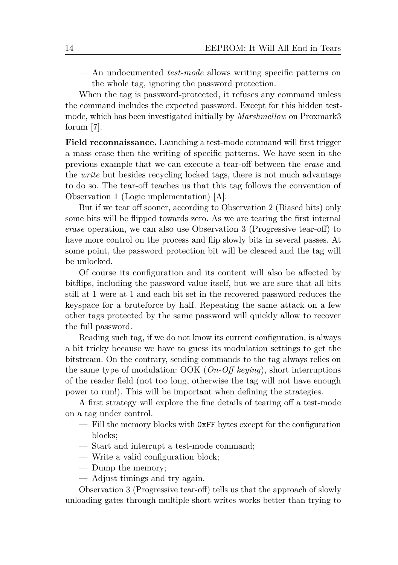— An undocumented *test-mode* allows writing specific patterns on the whole tag, ignoring the password protection.

When the tag is password-protected, it refuses any command unless the command includes the expected password. Except for this hidden testmode, which has been investigated initially by *Marshmellow* on Proxmark3 forum [\[7\]](#page-29-10).

**Field reconnaissance.** Launching a test-mode command will first trigger a mass erase then the writing of specific patterns. We have seen in the previous example that we can execute a tear-off between the *erase* and the *write* but besides recycling locked tags, there is not much advantage to do so. The tear-off teaches us that this tag follows the convention of Observation [1 \(Logic implementation\)](#page-2-1) [A].

But if we tear off sooner, according to Observation [2](#page-4-0) [\(Biased bits\)](#page-4-0) only some bits will be flipped towards zero. As we are tearing the first internal *erase* operation, we can also use Observation [3](#page-4-1) [\(Progressive tear-off\)](#page-4-1) to have more control on the process and flip slowly bits in several passes. At some point, the password protection bit will be cleared and the tag will be unlocked.

Of course its configuration and its content will also be affected by bitflips, including the password value itself, but we are sure that all bits still at 1 were at 1 and each bit set in the recovered password reduces the keyspace for a bruteforce by half. Repeating the same attack on a few other tags protected by the same password will quickly allow to recover the full password.

Reading such tag, if we do not know its current configuration, is always a bit tricky because we have to guess its modulation settings to get the bitstream. On the contrary, sending commands to the tag always relies on the same type of modulation: OOK (*On-Off keying*), short interruptions of the reader field (not too long, otherwise the tag will not have enough power to run!). This will be important when defining the strategies.

A first strategy will explore the fine details of tearing off a test-mode on a tag under control.

- Fill the memory blocks with 0xFF bytes except for the configuration blocks;
- Start and interrupt a test-mode command;
- Write a valid configuration block;
- Dump the memory;
- Adjust timings and try again.

Observation [3](#page-4-1) [\(Progressive tear-off\)](#page-4-1) tells us that the approach of slowly unloading gates through multiple short writes works better than trying to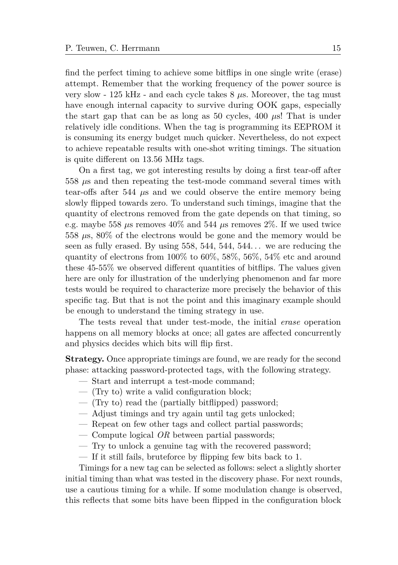find the perfect timing to achieve some bitflips in one single write (erase) attempt. Remember that the working frequency of the power source is very slow - 125 kHz - and each cycle takes 8 *µ*s. Moreover, the tag must have enough internal capacity to survive during OOK gaps, especially the start gap that can be as long as 50 cycles, 400 *µ*s! That is under relatively idle conditions. When the tag is programming its EEPROM it is consuming its energy budget much quicker. Nevertheless, do not expect to achieve repeatable results with one-shot writing timings. The situation is quite different on 13.56 MHz tags.

On a first tag, we got interesting results by doing a first tear-off after 558 *µ*s and then repeating the test-mode command several times with tear-offs after 544 *µ*s and we could observe the entire memory being slowly flipped towards zero. To understand such timings, imagine that the quantity of electrons removed from the gate depends on that timing, so e.g. maybe 558  $\mu$ s removes  $40\%$  and 544  $\mu$ s removes  $2\%$ . If we used twice 558 *µ*s, 80% of the electrons would be gone and the memory would be seen as fully erased. By using  $558, 544, 544, 544...$  we are reducing the quantity of electrons from 100% to 60%, 58%, 56%, 54% etc and around these 45-55% we observed different quantities of bitflips. The values given here are only for illustration of the underlying phenomenon and far more tests would be required to characterize more precisely the behavior of this specific tag. But that is not the point and this imaginary example should be enough to understand the timing strategy in use.

The tests reveal that under test-mode, the initial *erase* operation happens on all memory blocks at once; all gates are affected concurrently and physics decides which bits will flip first.

**Strategy.** Once appropriate timings are found, we are ready for the second phase: attacking password-protected tags, with the following strategy.

- Start and interrupt a test-mode command;
- (Try to) write a valid configuration block;
- (Try to) read the (partially bitflipped) password;
- Adjust timings and try again until tag gets unlocked;
- Repeat on few other tags and collect partial passwords;
- Compute logical *OR* between partial passwords;
- Try to unlock a genuine tag with the recovered password;
- If it still fails, bruteforce by flipping few bits back to 1.

Timings for a new tag can be selected as follows: select a slightly shorter initial timing than what was tested in the discovery phase. For next rounds, use a cautious timing for a while. If some modulation change is observed, this reflects that some bits have been flipped in the configuration block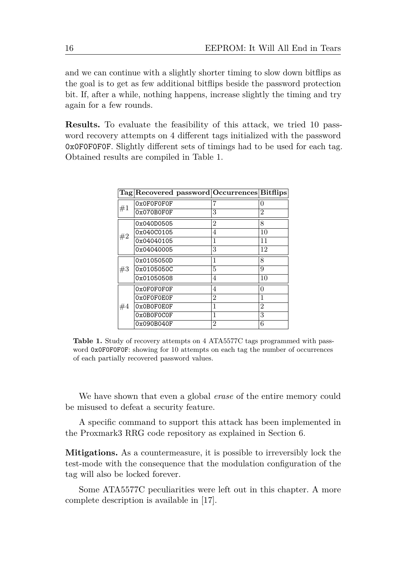and we can continue with a slightly shorter timing to slow down bitflips as the goal is to get as few additional bitflips beside the password protection bit. If, after a while, nothing happens, increase slightly the timing and try again for a few rounds.

**Results.** To evaluate the feasibility of this attack, we tried 10 password recovery attempts on 4 different tags initialized with the password 0x0F0F0F0F. Slightly different sets of timings had to be used for each tag. Obtained results are compiled in Table [1.](#page-15-0)

<span id="page-15-0"></span>

|    |            | Tag Recovered password Occurrences Bitflips |                |
|----|------------|---------------------------------------------|----------------|
| #1 | 0x0F0F0F0F | 7                                           | 0              |
|    | 0x070B0F0F | 3                                           | 2              |
|    | 0x040D0505 | $\overline{2}$                              | 8              |
| #2 | 0x040C0105 | 4                                           | 10             |
|    | 0x04040105 | 1                                           | 11             |
|    | 0x04040005 | 3                                           | 12             |
|    | 0x0105050D | $\mathbf{1}$                                | 8              |
| #3 | 0x0105050C | 5                                           | 9              |
|    | 0x01050508 | 4                                           | 10             |
|    | 0x0F0F0F0F | 4                                           | 0              |
|    | 0x0F0F0E0F | 2                                           | 1              |
| #4 | 0x0B0F0E0F | 1                                           | $\overline{2}$ |
|    | 0x0B0F0C0F | 1                                           | 3              |
|    | 0x090B040F | 2                                           | 6              |

**Table 1.** Study of recovery attempts on 4 ATA5577C tags programmed with password 0x0F0F0F0F: showing for 10 attempts on each tag the number of occurrences of each partially recovered password values.

We have shown that even a global *erase* of the entire memory could be misused to defeat a security feature.

A specific command to support this attack has been implemented in the Proxmark3 RRG code repository as explained in Section [6.](#page-26-0)

**Mitigations.** As a countermeasure, it is possible to irreversibly lock the test-mode with the consequence that the modulation configuration of the tag will also be locked forever.

Some ATA5577C peculiarities were left out in this chapter. A more complete description is available in [\[17\]](#page-29-11).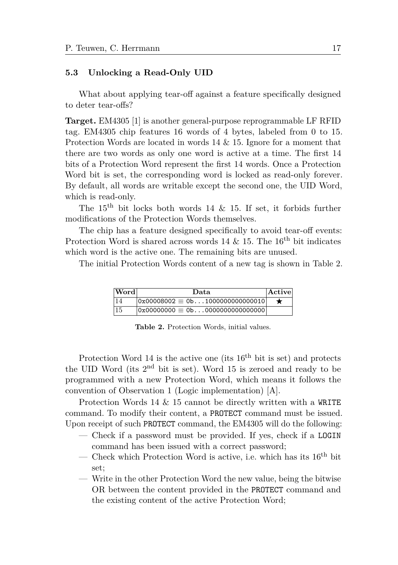#### <span id="page-16-0"></span>**5.3 Unlocking a Read-Only UID**

What about applying tear-off against a feature specifically designed to deter tear-offs?

**Target.** EM4305 [\[1\]](#page-28-2) is another general-purpose reprogrammable LF RFID tag. EM4305 chip features 16 words of 4 bytes, labeled from 0 to 15. Protection Words are located in words 14 & 15. Ignore for a moment that there are two words as only one word is active at a time. The first 14 bits of a Protection Word represent the first 14 words. Once a Protection Word bit is set, the corresponding word is locked as read-only forever. By default, all words are writable except the second one, the UID Word, which is read-only.

The  $15<sup>th</sup>$  bit locks both words 14 & 15. If set, it forbids further modifications of the Protection Words themselves.

The chip has a feature designed specifically to avoid tear-off events: Protection Word is shared across words 14  $\&$  15. The 16<sup>th</sup> bit indicates which word is the active one. The remaining bits are unused.

<span id="page-16-1"></span>The initial Protection Words content of a new tag is shown in Table [2.](#page-16-1)

| Word | Data                                      | Active |
|------|-------------------------------------------|--------|
|      | $ 0x00008002 \equiv 0 b1000000000000010 $ |        |
|      |                                           |        |

**Table 2.** Protection Words, initial values.

Protection Word 14 is the active one (its  $16<sup>th</sup>$  bit is set) and protects the UID Word (its 2nd bit is set). Word 15 is zeroed and ready to be programmed with a new Protection Word, which means it follows the convention of Observation [1 \(Logic implementation\)](#page-2-1) [A].

Protection Words 14 & 15 cannot be directly written with a WRITE command. To modify their content, a PROTECT command must be issued. Upon receipt of such PROTECT command, the EM4305 will do the following:

- Check if a password must be provided. If yes, check if a LOGIN command has been issued with a correct password;
- Check which Protection Word is active, i.e. which has its  $16<sup>th</sup>$  bit set;
- Write in the other Protection Word the new value, being the bitwise OR between the content provided in the PROTECT command and the existing content of the active Protection Word;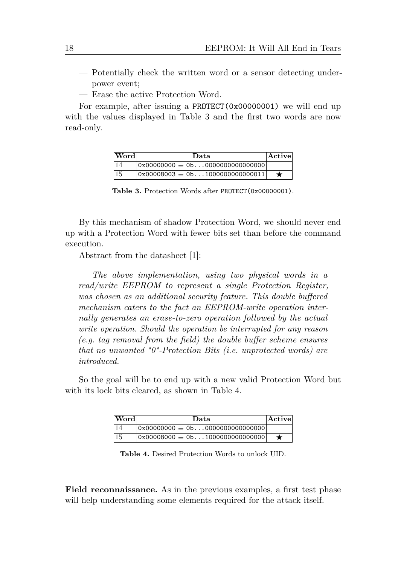- Potentially check the written word or a sensor detecting underpower event;
- Erase the active Protection Word.

<span id="page-17-0"></span>For example, after issuing a PROTECT(0x00000001) we will end up with the values displayed in Table [3](#page-17-0) and the first two words are now read-only.

| $ {\bf Word} $ | Data                                   | Activel |
|----------------|----------------------------------------|---------|
| 14             |                                        |         |
| 15             | $0x00008003 \equiv 0b1000000000000011$ |         |

**Table 3.** Protection Words after PROTECT(0x00000001).

By this mechanism of shadow Protection Word, we should never end up with a Protection Word with fewer bits set than before the command execution.

Abstract from the datasheet [\[1\]](#page-28-2):

*The above implementation, using two physical words in a read/write EEPROM to represent a single Protection Register, was chosen as an additional security feature. This double buffered mechanism caters to the fact an EEPROM-write operation internally generates an erase-to-zero operation followed by the actual write operation. Should the operation be interrupted for any reason (e.g. tag removal from the field) the double buffer scheme ensures that no unwanted "0"-Protection Bits (i.e. unprotected words) are introduced.*

<span id="page-17-1"></span>So the goal will be to end up with a new valid Protection Word but with its lock bits cleared, as shown in Table [4.](#page-17-1)

| Word | Data                                               | $ \mathrm{Active} $ |
|------|----------------------------------------------------|---------------------|
|      |                                                    |                     |
| 15   | $ 0x00008000 \equiv 0$ b $\dots$ 10000000000000000 |                     |

**Table 4.** Desired Protection Words to unlock UID.

**Field reconnaissance.** As in the previous examples, a first test phase will help understanding some elements required for the attack itself.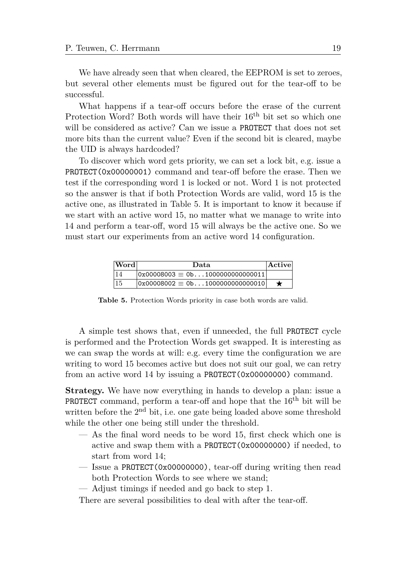We have already seen that when cleared, the EEPROM is set to zeroes, but several other elements must be figured out for the tear-off to be successful.

What happens if a tear-off occurs before the erase of the current Protection Word? Both words will have their 16th bit set so which one will be considered as active? Can we issue a **PROTECT** that does not set more bits than the current value? Even if the second bit is cleared, maybe the UID is always hardcoded?

To discover which word gets priority, we can set a lock bit, e.g. issue a PROTECT(0x00000001) command and tear-off before the erase. Then we test if the corresponding word 1 is locked or not. Word 1 is not protected so the answer is that if both Protection Words are valid, word 15 is the active one, as illustrated in Table [5.](#page-18-0) It is important to know it because if we start with an active word 15, no matter what we manage to write into 14 and perform a tear-off, word 15 will always be the active one. So we must start our experiments from an active word 14 configuration.

<span id="page-18-0"></span>

| Word | Data                                     | $ $ Active |
|------|------------------------------------------|------------|
|      | $0x00008003 \equiv 0$ b1000000000000011  |            |
| 15   | $ 0x00008002 \equiv 0$ b1000000000000010 |            |

**Table 5.** Protection Words priority in case both words are valid.

A simple test shows that, even if unneeded, the full PROTECT cycle is performed and the Protection Words get swapped. It is interesting as we can swap the words at will: e.g. every time the configuration we are writing to word 15 becomes active but does not suit our goal, we can retry from an active word 14 by issuing a PROTECT(0x00000000) command.

**Strategy.** We have now everything in hands to develop a plan: issue a **PROTECT** command, perform a tear-off and hope that the  $16<sup>th</sup>$  bit will be written before the  $2<sup>nd</sup>$  bit, i.e. one gate being loaded above some threshold while the other one being still under the threshold.

- As the final word needs to be word 15, first check which one is active and swap them with a PROTECT(0x00000000) if needed, to start from word 14;
- Issue a PROTECT(0x00000000), tear-off during writing then read both Protection Words to see where we stand;
- Adjust timings if needed and go back to step 1.

There are several possibilities to deal with after the tear-off.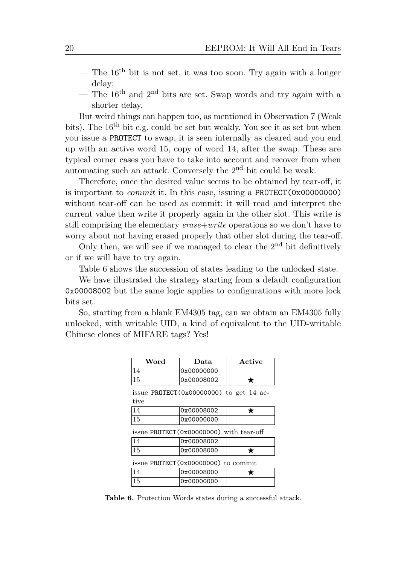- The  $16<sup>th</sup>$  bit is not set, it was too soon. Try again with a longer delay;
- The  $16<sup>th</sup>$  and  $2<sup>nd</sup>$  bits are set. Swap words and try again with a shorter delay.

But weird things can happen too, as mentioned in Observation [7 \(Weak](#page-8-0) [bits\)](#page-8-0). The 16th bit e.g. could be set but weakly. You see it as set but when you issue a PROTECT to swap, it is seen internally as cleared and you end up with an active word 15, copy of word 14, after the swap. These are typical corner cases you have to take into account and recover from when automating such an attack. Conversely the  $2<sup>nd</sup>$  bit could be weak.

Therefore, once the desired value seems to be obtained by tear-off, it is important to *commit* it. In this case, issuing a PROTECT (0x00000000) without tear-off can be used as commit: it will read and interpret the current value then write it properly again in the other slot. This write is still comprising the elementary *erase*+*write* operations so we don't have to worry about not having erased properly that other slot during the tear-off.

Only then, we will see if we managed to clear the  $2<sup>nd</sup>$  bit definitively or if we will have to try again.

Table [6](#page-19-0) shows the succession of states leading to the unlocked state.

We have illustrated the strategy starting from a default configuration 0x00008002 but the same logic applies to configurations with more lock bits set.

<span id="page-19-0"></span>So, starting from a blank EM4305 tag, can we obtain an EM4305 fully unlocked, with writable UID, a kind of equivalent to the UID-writable Chinese clones of MIFARE tags? Yes!

| Word                                                 | Data       | Active |  |  |
|------------------------------------------------------|------------|--------|--|--|
| 14                                                   | 0x00000000 |        |  |  |
| 15                                                   | 0x00008002 |        |  |  |
| issue PROTECT ( $0x00000000$ ) to get 14 ac-<br>tive |            |        |  |  |
| 14                                                   | 0x00008002 |        |  |  |
| 15                                                   | 0x00000000 |        |  |  |
| issue $PROTECT(0x00000000)$ with tear-off            |            |        |  |  |
| 14                                                   | 0x00008002 |        |  |  |
| 15                                                   | 0x00008000 |        |  |  |
| issue $PROTECT (0x00000000)$ to commit               |            |        |  |  |
| 14                                                   | 0x00008000 |        |  |  |
| 15                                                   | 0x00000000 |        |  |  |

**Table 6.** Protection Words states during a successful attack.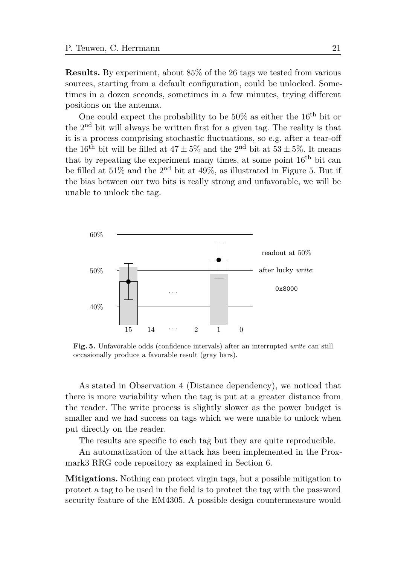**Results.** By experiment, about 85% of the 26 tags we tested from various sources, starting from a default configuration, could be unlocked. Sometimes in a dozen seconds, sometimes in a few minutes, trying different positions on the antenna.

One could expect the probability to be  $50\%$  as either the  $16^{th}$  bit or the 2nd bit will always be written first for a given tag. The reality is that it is a process comprising stochastic fluctuations, so e.g. after a tear-off the 16<sup>th</sup> bit will be filled at  $47 \pm 5\%$  and the 2<sup>nd</sup> bit at  $53 \pm 5\%$ . It means that by repeating the experiment many times, at some point  $16<sup>th</sup>$  bit can be filled at  $51\%$  and the  $2<sup>nd</sup>$  bit at  $49\%$ , as illustrated in Figure [5.](#page-20-0) But if the bias between our two bits is really strong and unfavorable, we will be unable to unlock the tag.

<span id="page-20-0"></span>

**Fig. 5.** Unfavorable odds (confidence intervals) after an interrupted *write* can still occasionally produce a favorable result (gray bars).

As stated in Observation [4](#page-6-1) [\(Distance dependency\)](#page-6-1), we noticed that there is more variability when the tag is put at a greater distance from the reader. The write process is slightly slower as the power budget is smaller and we had success on tags which we were unable to unlock when put directly on the reader.

The results are specific to each tag but they are quite reproducible.

An automatization of the attack has been implemented in the Proxmark3 RRG code repository as explained in Section [6.](#page-26-0)

**Mitigations.** Nothing can protect virgin tags, but a possible mitigation to protect a tag to be used in the field is to protect the tag with the password security feature of the EM4305. A possible design countermeasure would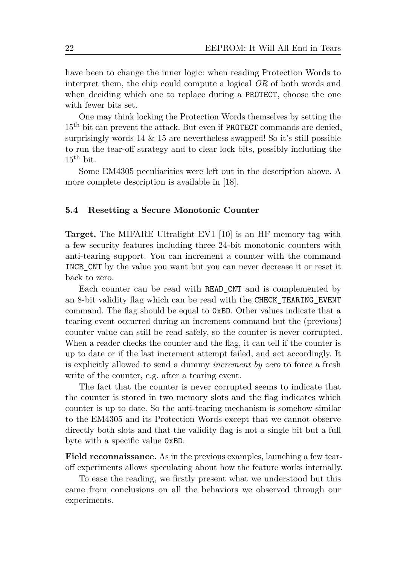have been to change the inner logic: when reading Protection Words to interpret them, the chip could compute a logical *OR* of both words and when deciding which one to replace during a PROTECT, choose the one with fewer bits set.

One may think locking the Protection Words themselves by setting the 15<sup>th</sup> bit can prevent the attack. But even if **PROTECT** commands are denied, surprisingly words  $14 \& 15$  are nevertheless swapped! So it's still possible to run the tear-off strategy and to clear lock bits, possibly including the  $15^{\text{th}}$  bit.

Some EM4305 peculiarities were left out in the description above. A more complete description is available in [\[18\]](#page-29-12).

## <span id="page-21-0"></span>**5.4 Resetting a Secure Monotonic Counter**

**Target.** The MIFARE Ultralight EV1 [\[10\]](#page-29-13) is an HF memory tag with a few security features including three 24-bit monotonic counters with anti-tearing support. You can increment a counter with the command INCR\_CNT by the value you want but you can never decrease it or reset it back to zero.

Each counter can be read with READ\_CNT and is complemented by an 8-bit validity flag which can be read with the CHECK\_TEARING\_EVENT command. The flag should be equal to 0xBD. Other values indicate that a tearing event occurred during an increment command but the (previous) counter value can still be read safely, so the counter is never corrupted. When a reader checks the counter and the flag, it can tell if the counter is up to date or if the last increment attempt failed, and act accordingly. It is explicitly allowed to send a dummy *increment by zero* to force a fresh write of the counter, e.g. after a tearing event.

The fact that the counter is never corrupted seems to indicate that the counter is stored in two memory slots and the flag indicates which counter is up to date. So the anti-tearing mechanism is somehow similar to the EM4305 and its Protection Words except that we cannot observe directly both slots and that the validity flag is not a single bit but a full byte with a specific value 0xBD.

**Field reconnaissance.** As in the previous examples, launching a few tearoff experiments allows speculating about how the feature works internally.

To ease the reading, we firstly present what we understood but this came from conclusions on all the behaviors we observed through our experiments.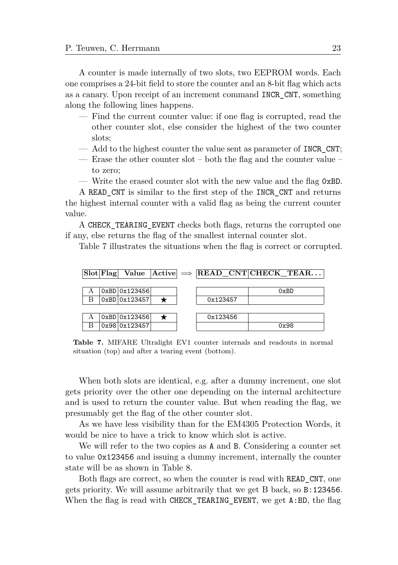A counter is made internally of two slots, two EEPROM words. Each one comprises a 24-bit field to store the counter and an 8-bit flag which acts as a canary. Upon receipt of an increment command INCR\_CNT, something along the following lines happens.

- Find the current counter value: if one flag is corrupted, read the other counter slot, else consider the highest of the two counter slots;
- Add to the highest counter the value sent as parameter of INCR\_CNT;
- Erase the other counter slot both the flag and the counter value to zero;
- Write the erased counter slot with the new value and the flag 0xBD.

A READ\_CNT is similar to the first step of the INCR\_CNT and returns the highest internal counter with a valid flag as being the current counter value.

A CHECK\_TEARING\_EVENT checks both flags, returns the corrupted one if any, else returns the flag of the smallest internal counter slot.

Table [7](#page-22-0) illustrates the situations when the flag is correct or corrupted.

<span id="page-22-0"></span>

**Table 7.** MIFARE Ultralight EV1 counter internals and readouts in normal situation (top) and after a tearing event (bottom).

When both slots are identical, e.g. after a dummy increment, one slot gets priority over the other one depending on the internal architecture and is used to return the counter value. But when reading the flag, we presumably get the flag of the other counter slot.

As we have less visibility than for the EM4305 Protection Words, it would be nice to have a trick to know which slot is active.

We will refer to the two copies as A and B. Considering a counter set to value 0x123456 and issuing a dummy increment, internally the counter state will be as shown in Table [8.](#page-23-0)

Both flags are correct, so when the counter is read with READ\_CNT, one gets priority. We will assume arbitrarily that we get B back, so B:123456. When the flag is read with CHECK\_TEARING\_EVENT, we get A:BD, the flag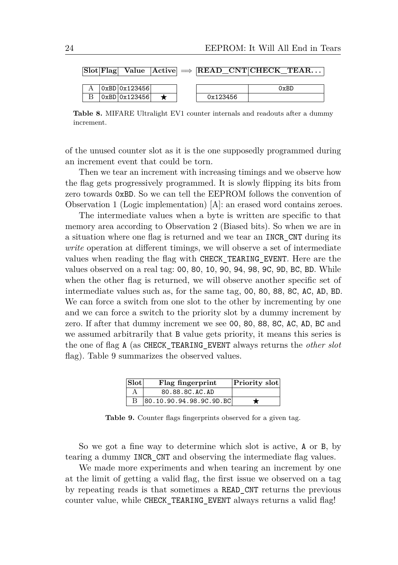<span id="page-23-0"></span>

|  |               |  |          | $ \text{Slot} \text{Flag} $ Value $ \text{Active}  \implies  \text{READ } \text{CNT}  \text{CHECK } \text{TEAR}$ |
|--|---------------|--|----------|------------------------------------------------------------------------------------------------------------------|
|  |               |  |          |                                                                                                                  |
|  | 0xBD 0x123456 |  |          | 0xBD                                                                                                             |
|  | 0xBD 0x123456 |  | 0x123456 |                                                                                                                  |

**Table 8.** MIFARE Ultralight EV1 counter internals and readouts after a dummy increment.

of the unused counter slot as it is the one supposedly programmed during an increment event that could be torn.

Then we tear an increment with increasing timings and we observe how the flag gets progressively programmed. It is slowly flipping its bits from zero towards 0xBD. So we can tell the EEPROM follows the convention of Observation [1 \(Logic implementation\)](#page-2-1) [A]: an erased word contains zeroes.

The intermediate values when a byte is written are specific to that memory area according to Observation [2 \(Biased bits\)](#page-4-0). So when we are in a situation where one flag is returned and we tear an INCR\_CNT during its *write* operation at different timings, we will observe a set of intermediate values when reading the flag with CHECK\_TEARING\_EVENT. Here are the values observed on a real tag: 00, 80, 10, 90, 94, 98, 9C, 9D, BC, BD. While when the other flag is returned, we will observe another specific set of intermediate values such as, for the same tag, 00, 80, 88, 8C, AC, AD, BD. We can force a switch from one slot to the other by incrementing by one and we can force a switch to the priority slot by a dummy increment by zero. If after that dummy increment we see 00, 80, 88, 8C, AC, AD, BC and we assumed arbitrarily that B value gets priority, it means this series is the one of flag A (as CHECK\_TEARING\_EVENT always returns the *other slot* flag). Table [9](#page-23-1) summarizes the observed values.

| $ $ Slot $ $ | Flag fingerprint        | Priority slot |
|--------------|-------------------------|---------------|
|              | 80.88.8C.AC.AD          |               |
|              | 80.10.90.94.98.9C.9D.BC |               |

<span id="page-23-1"></span>**Table 9.** Counter flags fingerprints observed for a given tag.

So we got a fine way to determine which slot is active, A or B, by tearing a dummy INCR\_CNT and observing the intermediate flag values.

We made more experiments and when tearing an increment by one at the limit of getting a valid flag, the first issue we observed on a tag by repeating reads is that sometimes a READ\_CNT returns the previous counter value, while CHECK\_TEARING\_EVENT always returns a valid flag!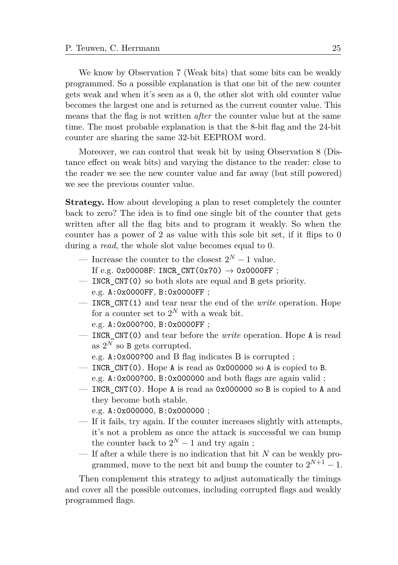We know by Observation [7](#page-8-0) [\(Weak bits\)](#page-8-0) that some bits can be weakly programmed. So a possible explanation is that one bit of the new counter gets weak and when it's seen as a 0, the other slot with old counter value becomes the largest one and is returned as the current counter value. This means that the flag is not written *after* the counter value but at the same time. The most probable explanation is that the 8-bit flag and the 24-bit counter are sharing the same 32-bit EEPROM word.

Moreover, we can control that weak bit by using Observation [8 \(Dis](#page-10-1)[tance effect on weak bits\)](#page-10-1) and varying the distance to the reader: close to the reader we see the new counter value and far away (but still powered) we see the previous counter value.

**Strategy.** How about developing a plan to reset completely the counter back to zero? The idea is to find one single bit of the counter that gets written after all the flag bits and to program it weakly. So when the counter has a power of 2 as value with this sole bit set, if it flips to 0 during a *read*, the whole slot value becomes equal to 0.

- Increase the counter to the closest  $2^N 1$  value. If e.g. 0x00008F: INCR CNT(0x70)  $\rightarrow$  0x0000FF ;
- INCR\_CNT(0) so both slots are equal and B gets priority. e.g. A:0x0000FF, B:0x0000FF ;
- INCR\_CNT(1) and tear near the end of the *write* operation. Hope for a counter set to  $2^N$  with a weak bit. e.g. A:0x000?00, B:0x0000FF ;
- INCR\_CNT(0) and tear before the *write* operation. Hope A is read as  $2^N$  so B gets corrupted.
	- e.g. A:0x000?00 and B flag indicates B is corrupted ;
- INCR\_CNT(0). Hope A is read as  $0x000000$  so A is copied to B. e.g. A:0x000?00, B:0x000000 and both flags are again valid ;
- INCR\_CNT(0). Hope A is read as  $0x000000$  so B is copied to A and they become both stable.
	- e.g. A:0x000000, B:0x000000 ;
- If it fails, try again. If the counter increases slightly with attempts, it's not a problem as once the attack is successful we can bump the counter back to  $2^N - 1$  and try again ;
- If after a while there is no indication that bit *N* can be weakly programmed, move to the next bit and bump the counter to  $2^{N+1} - 1$ .

Then complement this strategy to adjust automatically the timings and cover all the possible outcomes, including corrupted flags and weakly programmed flags.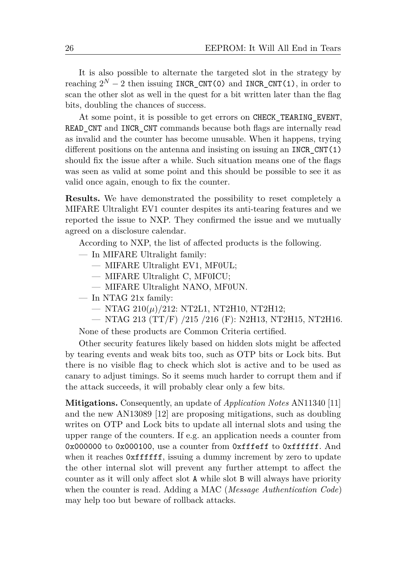It is also possible to alternate the targeted slot in the strategy by reaching  $2^N - 2$  then issuing INCR\_CNT(0) and INCR\_CNT(1), in order to scan the other slot as well in the quest for a bit written later than the flag bits, doubling the chances of success.

At some point, it is possible to get errors on CHECK\_TEARING\_EVENT, READ CNT and INCR CNT commands because both flags are internally read as invalid and the counter has become unusable. When it happens, trying different positions on the antenna and insisting on issuing an INCR  $CNT(1)$ should fix the issue after a while. Such situation means one of the flags was seen as valid at some point and this should be possible to see it as valid once again, enough to fix the counter.

**Results.** We have demonstrated the possibility to reset completely a MIFARE Ultralight EV1 counter despites its anti-tearing features and we reported the issue to NXP. They confirmed the issue and we mutually agreed on a disclosure calendar.

According to NXP, the list of affected products is the following.

- In MIFARE Ultralight family:
	- MIFARE Ultralight EV1, MF0UL;
	- MIFARE Ultralight C, MF0ICU;
	- MIFARE Ultralight NANO, MF0UN.
- In NTAG 21x family:
	- NTAG 210(*µ*)/212: NT2L1, NT2H10, NT2H12;
	- NTAG 213 (TT/F) /215 /216 (F): N2H13, NT2H15, NT2H16.

None of these products are Common Criteria certified.

Other security features likely based on hidden slots might be affected by tearing events and weak bits too, such as OTP bits or Lock bits. But there is no visible flag to check which slot is active and to be used as canary to adjust timings. So it seems much harder to corrupt them and if the attack succeeds, it will probably clear only a few bits.

**Mitigations.** Consequently, an update of *Application Notes* AN11340 [\[11\]](#page-29-14) and the new AN13089 [\[12\]](#page-29-15) are proposing mitigations, such as doubling writes on OTP and Lock bits to update all internal slots and using the upper range of the counters. If e.g. an application needs a counter from 0x000000 to 0x000100, use a counter from 0xfffeff to 0xffffff. And when it reaches  $0x$ **ffffff**, issuing a dummy increment by zero to update the other internal slot will prevent any further attempt to affect the counter as it will only affect slot A while slot B will always have priority when the counter is read. Adding a MAC (*Message Authentication Code*) may help too but beware of rollback attacks.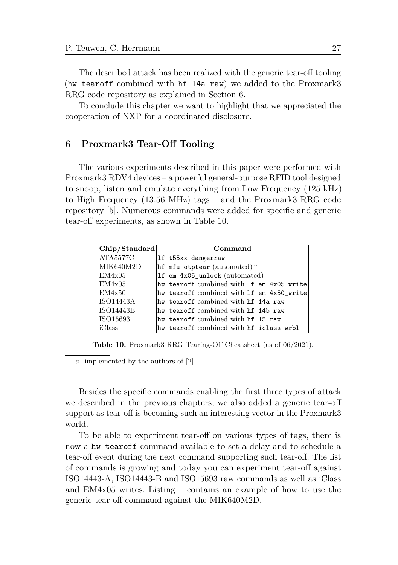The described attack has been realized with the generic tear-off tooling (hw tearoff combined with hf 14a raw) we added to the Proxmark3 RRG code repository as explained in Section [6.](#page-26-0)

To conclude this chapter we want to highlight that we appreciated the cooperation of NXP for a coordinated disclosure.

### <span id="page-26-0"></span>**6 Proxmark3 Tear-Off Tooling**

The various experiments described in this paper were performed with Proxmark3 RDV4 devices – a powerful general-purpose RFID tool designed to snoop, listen and emulate everything from Low Frequency (125 kHz) to High Frequency (13.56 MHz) tags – and the Proxmark3 RRG code repository [\[5\]](#page-29-1). Numerous commands were added for specific and generic tear-off experiments, as shown in Table [10.](#page-26-1)

<span id="page-26-1"></span>

| Chip/Standard    | Command                                   |
|------------------|-------------------------------------------|
| ATA5577C         | 1f t55xx dangerraw                        |
| MIK640M2D        | hf mfu otptear (automated) $a$            |
| EM4x05           | 1f em 4x05_unlock (automated)             |
| EM4x05           | hw tearoff combined with 1f em 4x05_write |
| EM4x50           | hw tearoff combined with 1f em 4x50_write |
| <b>ISO14443A</b> | hy tearoff combined with hf 14a raw       |
| <b>ISO14443B</b> | hy tearoff combined with hf 14b raw       |
| ISO15693         | hw tearoff combined with hf 15 raw        |
| iClass           | hw tearoff combined with hf iclass wrbl   |

**Table 10.** Proxmark3 RRG Tearing-Off Cheatsheet (as of 06/2021).

<span id="page-26-2"></span>*a*. implemented by the authors of [\[2\]](#page-28-0)

Besides the specific commands enabling the first three types of attack we described in the previous chapters, we also added a generic tear-off support as tear-off is becoming such an interesting vector in the Proxmark3 world.

To be able to experiment tear-off on various types of tags, there is now a hw tearoff command available to set a delay and to schedule a tear-off event during the next command supporting such tear-off. The list of commands is growing and today you can experiment tear-off against ISO14443-A, ISO14443-B and ISO15693 raw commands as well as iClass and EM4x05 writes. Listing [1](#page-27-0) contains an example of how to use the generic tear-off command against the MIK640M2D.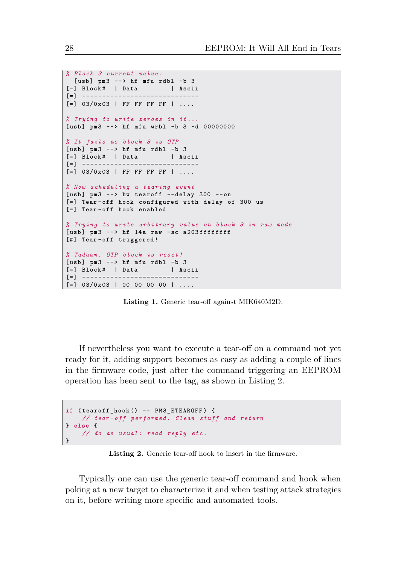```
% Block 3 current value :
  [ usb ] pm3 --> hf mfu rdbl -b 3
[=] Block # | Data | Ascii
[=] -----------------------------
[=] 03/0 x03 | FF FF FF FF | ....
% Trying to write zeroes in it ...
[ usb ] pm3 --> hf mfu wrbl -b 3 -d 00000000
% It fails as block 3 is OTP
[ usb ] pm3 --> hf mfu rdbl -b 3
[=] Block # | Data | Ascii
\lceil = \rceil - - - -
[=] 03/0 x03 | FF FF FF FF | ....
% Now scheduling a tearing event
[ usb ] pm3 --> hw tearoff -- delay 300 --on
[=] Tear - off hook configured with delay of 300 us
[=] Tear - off hook enabled
% Trying to write arbitrary value on block 3 in raw mode
[ usb ] pm3 --> hf 14a raw -sc a 203 ffffffff
[#] Tear - off triggered !
% Tadaam , OTP block is reset !
[ usb ] pm3 --> hf mfu rdbl -b 3
[=] Block # | Data | Ascii
[=] -----------------------------
\vert [=] 03/0x03 | 00 00 00 00 | ....
```
**Listing 1.** Generic tear-off against MIK640M2D.

If nevertheless you want to execute a tear-off on a command not yet ready for it, adding support becomes as easy as adding a couple of lines in the firmware code, just after the command triggering an EEPROM operation has been sent to the tag, as shown in Listing [2.](#page-27-1)

```
if ( tearoff_hook () == PM3_ETEAROFF ) {
   // tear -off performed . Clean stuff and return
} else {
   // do as usual : read reply etc.
}
```
**Listing 2.** Generic tear-off hook to insert in the firmware.

Typically one can use the generic tear-off command and hook when poking at a new target to characterize it and when testing attack strategies on it, before writing more specific and automated tools.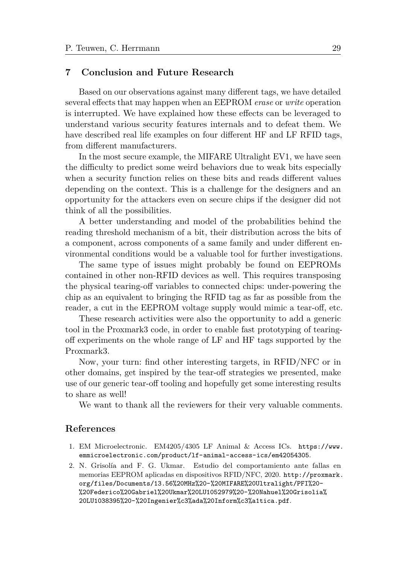# <span id="page-28-1"></span>**7 Conclusion and Future Research**

Based on our observations against many different tags, we have detailed several effects that may happen when an EEPROM *erase* or *write* operation is interrupted. We have explained how these effects can be leveraged to understand various security features internals and to defeat them. We have described real life examples on four different HF and LF RFID tags, from different manufacturers.

In the most secure example, the MIFARE Ultralight EV1, we have seen the difficulty to predict some weird behaviors due to weak bits especially when a security function relies on these bits and reads different values depending on the context. This is a challenge for the designers and an opportunity for the attackers even on secure chips if the designer did not think of all the possibilities.

A better understanding and model of the probabilities behind the reading threshold mechanism of a bit, their distribution across the bits of a component, across components of a same family and under different environmental conditions would be a valuable tool for further investigations.

The same type of issues might probably be found on EEPROMs contained in other non-RFID devices as well. This requires transposing the physical tearing-off variables to connected chips: under-powering the chip as an equivalent to bringing the RFID tag as far as possible from the reader, a cut in the EEPROM voltage supply would mimic a tear-off, etc.

These research activities were also the opportunity to add a generic tool in the Proxmark3 code, in order to enable fast prototyping of tearingoff experiments on the whole range of LF and HF tags supported by the Proxmark3.

Now, your turn: find other interesting targets, in RFID/NFC or in other domains, get inspired by the tear-off strategies we presented, make use of our generic tear-off tooling and hopefully get some interesting results to share as well!

We want to thank all the reviewers for their very valuable comments.

## **References**

- <span id="page-28-2"></span>1. EM Microelectronic. EM4205/4305 LF Animal & Access ICs. [https://www.](https://www.emmicroelectronic.com/product/lf-animal-access-ics/em42054305) [emmicroelectronic.com/product/lf-animal-access-ics/em42054305](https://www.emmicroelectronic.com/product/lf-animal-access-ics/em42054305).
- <span id="page-28-0"></span>2. N. Grisolía and F. G. Ukmar. Estudio del comportamiento ante fallas en memorias EEPROM aplicadas en dispositivos RFID/NFC, 2020. [http://proxmark.](http://proxmark.org/files/Documents/13.56%20MHz%20-%20MIFARE%20Ultralight/PFI%20-%20Federico%20Gabriel%20Ukmar%20LU1052979%20-%20Nahuel%20Grisolia%20LU1038395%20-%20Ingenier%c3%ada%20Inform%c3%a1tica.pdf) [org/files/Documents/13.56%20MHz%20-%20MIFARE%20Ultralight/PFI%20-](http://proxmark.org/files/Documents/13.56%20MHz%20-%20MIFARE%20Ultralight/PFI%20-%20Federico%20Gabriel%20Ukmar%20LU1052979%20-%20Nahuel%20Grisolia%20LU1038395%20-%20Ingenier%c3%ada%20Inform%c3%a1tica.pdf) [%20Federico%20Gabriel%20Ukmar%20LU1052979%20-%20Nahuel%20Grisolia%](http://proxmark.org/files/Documents/13.56%20MHz%20-%20MIFARE%20Ultralight/PFI%20-%20Federico%20Gabriel%20Ukmar%20LU1052979%20-%20Nahuel%20Grisolia%20LU1038395%20-%20Ingenier%c3%ada%20Inform%c3%a1tica.pdf) [20LU1038395%20-%20Ingenier%c3%ada%20Inform%c3%a1tica.pdf](http://proxmark.org/files/Documents/13.56%20MHz%20-%20MIFARE%20Ultralight/PFI%20-%20Federico%20Gabriel%20Ukmar%20LU1052979%20-%20Nahuel%20Grisolia%20LU1038395%20-%20Ingenier%c3%ada%20Inform%c3%a1tica.pdf).